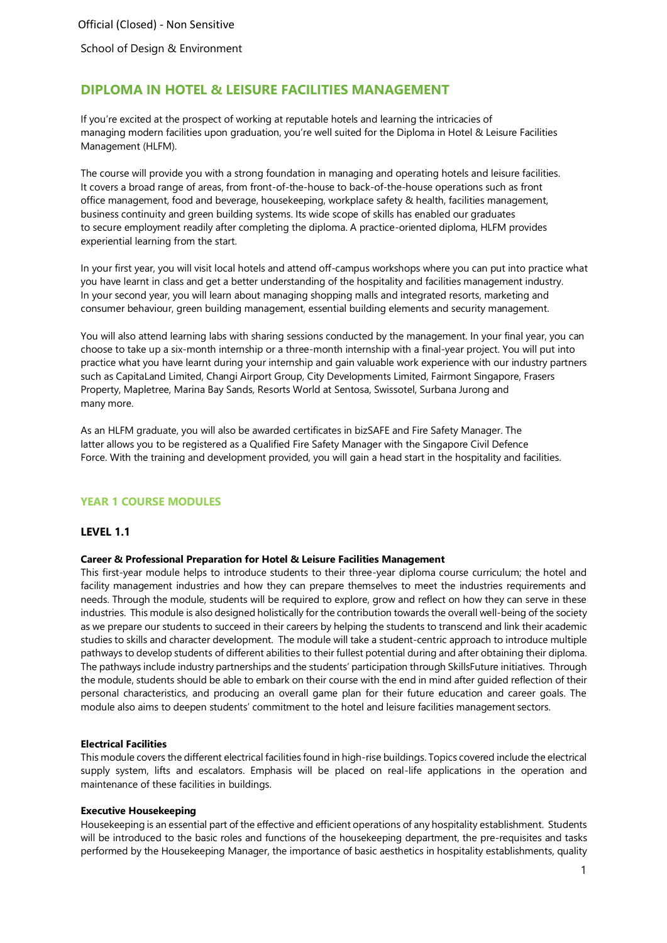School of Design & Environment

# **DIPLOMA IN HOTEL & LEISURE FACILITIES MANAGEMENT**

If you're excited at the prospect of working at reputable hotels and learning the intricacies of managing modern facilities upon graduation, you're well suited for the Diploma in Hotel & Leisure Facilities Management (HLFM).

The course will provide you with a strong foundation in managing and operating hotels and leisure facilities. It covers a broad range of areas, from front-of-the-house to back-of-the-house operations such as front office management, food and beverage, housekeeping, workplace safety & health, facilities management, business continuity and green building systems. Its wide scope of skills has enabled our graduates to secure employment readily after completing the diploma. A practice-oriented diploma, HLFM provides experiential learning from the start.

In your first year, you will visit local hotels and attend off-campus workshops where you can put into practice what you have learnt in class and get a better understanding of the hospitality and facilities management industry. In your second year, you will learn about managing shopping malls and integrated resorts, marketing and consumer behaviour, green building management, essential building elements and security management.

You will also attend learning labs with sharing sessions conducted by the management. In your final year, you can choose to take up a six-month internship or a three-month internship with a final-year project. You will put into practice what you have learnt during your internship and gain valuable work experience with our industry partners such as CapitaLand Limited, Changi Airport Group, City Developments Limited, Fairmont Singapore, Frasers Property, Mapletree, Marina Bay Sands, Resorts World at Sentosa, Swissotel, Surbana Jurong and many more.

As an HLFM graduate, you will also be awarded certificates in bizSAFE and Fire Safety Manager. The latter allows you to be registered as a Qualified Fire Safety Manager with the Singapore Civil Defence Force. With the training and development provided, you will gain a head start in the hospitality and facilities.

## **YEAR 1 COURSE MODULES**

### **LEVEL 1.1**

#### **Career & Professional Preparation for Hotel & Leisure Facilities Management**

This first-year module helps to introduce students to their three-year diploma course curriculum; the hotel and facility management industries and how they can prepare themselves to meet the industries requirements and needs. Through the module, students will be required to explore, grow and reflect on how they can serve in these industries. This module is also designed holistically for the contribution towards the overall well-being of the society as we prepare our students to succeed in their careers by helping the students to transcend and link their academic studies to skills and character development. The module will take a student-centric approach to introduce multiple pathways to develop students of different abilities to their fullest potential during and after obtaining their diploma. The pathways include industry partnerships and the students' participation through SkillsFuture initiatives. Through the module, students should be able to embark on their course with the end in mind after guided reflection of their personal characteristics, and producing an overall game plan for their future education and career goals. The module also aims to deepen students' commitment to the hotel and leisure facilities management sectors.

#### **Electrical Facilities**

This module covers the different electrical facilities found in high-rise buildings. Topics covered include the electrical supply system, lifts and escalators. Emphasis will be placed on real-life applications in the operation and maintenance of these facilities in buildings.

#### **Executive Housekeeping**

Housekeeping is an essential part of the effective and efficient operations of any hospitality establishment. Students will be introduced to the basic roles and functions of the housekeeping department, the pre-requisites and tasks performed by the Housekeeping Manager, the importance of basic aesthetics in hospitality establishments, quality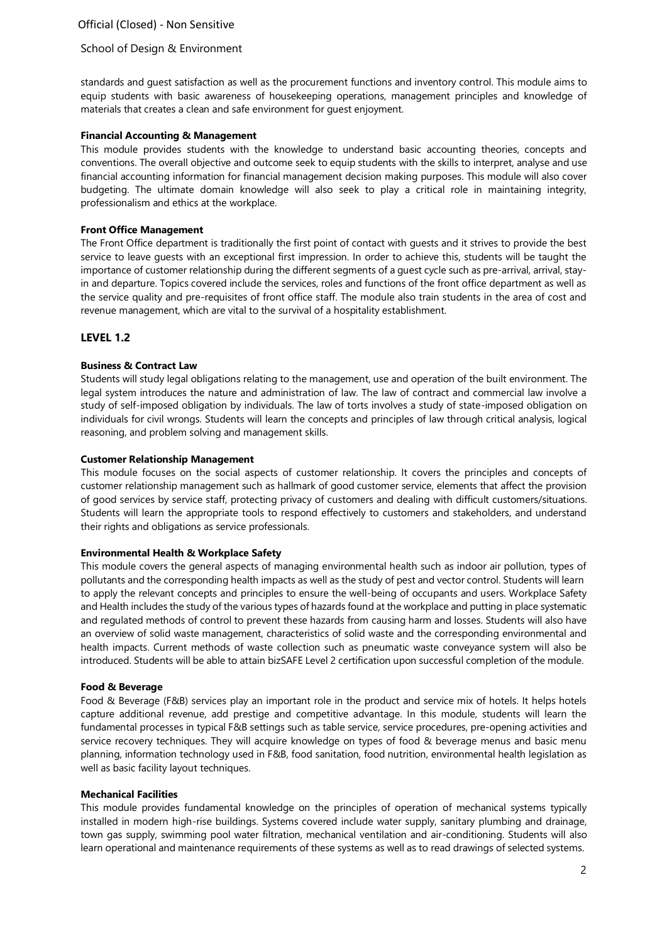## School of Design & Environment

standards and guest satisfaction as well as the procurement functions and inventory control. This module aims to equip students with basic awareness of housekeeping operations, management principles and knowledge of materials that creates a clean and safe environment for guest enjoyment.

### **Financial Accounting & Management**

This module provides students with the knowledge to understand basic accounting theories, concepts and conventions. The overall objective and outcome seek to equip students with the skills to interpret, analyse and use financial accounting information for financial management decision making purposes. This module will also cover budgeting. The ultimate domain knowledge will also seek to play a critical role in maintaining integrity, professionalism and ethics at the workplace.

## **Front Office Management**

The Front Office department is traditionally the first point of contact with guests and it strives to provide the best service to leave guests with an exceptional first impression. In order to achieve this, students will be taught the importance of customer relationship during the different segments of a guest cycle such as pre-arrival, arrival, stayin and departure. Topics covered include the services, roles and functions of the front office department as well as the service quality and pre-requisites of front office staff. The module also train students in the area of cost and revenue management, which are vital to the survival of a hospitality establishment.

# **LEVEL 1.2**

# **Business & Contract Law**

Students will study legal obligations relating to the management, use and operation of the built environment. The legal system introduces the nature and administration of law. The law of contract and commercial law involve a study of self-imposed obligation by individuals. The law of torts involves a study of state-imposed obligation on individuals for civil wrongs. Students will learn the concepts and principles of law through critical analysis, logical reasoning, and problem solving and management skills.

### **Customer Relationship Management**

This module focuses on the social aspects of customer relationship. It covers the principles and concepts of customer relationship management such as hallmark of good customer service, elements that affect the provision of good services by service staff, protecting privacy of customers and dealing with difficult customers/situations. Students will learn the appropriate tools to respond effectively to customers and stakeholders, and understand their rights and obligations as service professionals.

### **Environmental Health & Workplace Safety**

This module covers the general aspects of managing environmental health such as indoor air pollution, types of pollutants and the corresponding health impacts as well as the study of pest and vector control. Students will learn to apply the relevant concepts and principles to ensure the well-being of occupants and users. Workplace Safety and Health includes the study of the various types of hazards found at the workplace and putting in place systematic and regulated methods of control to prevent these hazards from causing harm and losses. Students will also have an overview of solid waste management, characteristics of solid waste and the corresponding environmental and health impacts. Current methods of waste collection such as pneumatic waste conveyance system will also be introduced. Students will be able to attain bizSAFE Level 2 certification upon successful completion of the module.

### **Food & Beverage**

Food & Beverage (F&B) services play an important role in the product and service mix of hotels. It helps hotels capture additional revenue, add prestige and competitive advantage. In this module, students will learn the fundamental processes in typical F&B settings such as table service, service procedures, pre-opening activities and service recovery techniques. They will acquire knowledge on types of food & beverage menus and basic menu planning, information technology used in F&B, food sanitation, food nutrition, environmental health legislation as well as basic facility layout techniques.

### **Mechanical Facilities**

This module provides fundamental knowledge on the principles of operation of mechanical systems typically installed in modern high-rise buildings. Systems covered include water supply, sanitary plumbing and drainage, town gas supply, swimming pool water filtration, mechanical ventilation and air-conditioning. Students will also learn operational and maintenance requirements of these systems as well as to read drawings of selected systems.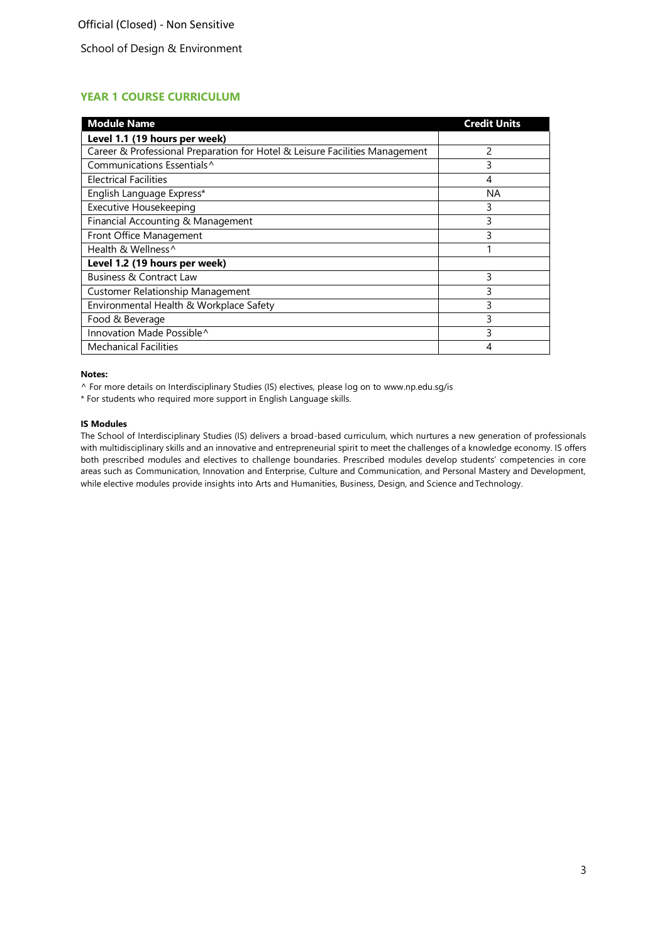# School of Design & Environment

# **YEAR 1 COURSE CURRICULUM**

| <b>Module Name</b>                                                          | <b>Credit Units</b> |
|-----------------------------------------------------------------------------|---------------------|
| Level 1.1 (19 hours per week)                                               |                     |
| Career & Professional Preparation for Hotel & Leisure Facilities Management | 2                   |
| Communications Essentials <sup>^</sup>                                      | 3                   |
| <b>Electrical Facilities</b>                                                | 4                   |
| English Language Express*                                                   | ΝA                  |
| Executive Housekeeping                                                      | 3                   |
| Financial Accounting & Management                                           | 3                   |
| Front Office Management                                                     | 3                   |
| Health & Wellness <sup>^</sup>                                              |                     |
| Level 1.2 (19 hours per week)                                               |                     |
| Business & Contract Law                                                     | 3                   |
| <b>Customer Relationship Management</b>                                     | 3                   |
| Environmental Health & Workplace Safety                                     | 3                   |
| Food & Beverage                                                             | 3                   |
| Innovation Made Possible^                                                   | 3                   |
| <b>Mechanical Facilities</b>                                                | 4                   |

### **Notes:**

^ For more details on Interdisciplinary Studies (IS) electives, please log on to [www.np.edu.sg/is](http://www.np.edu.sg/is/)

\* For students who required more support in English Language skills.

#### **IS Modules**

The School of Interdisciplinary Studies (IS) delivers a broad-based curriculum, which nurtures a new generation of professionals with multidisciplinary skills and an innovative and entrepreneurial spirit to meet the challenges of a knowledge economy. IS offers both prescribed modules and electives to challenge boundaries. Prescribed modules develop students' competencies in core areas such as Communication, Innovation and Enterprise, Culture and Communication, and Personal Mastery and Development, while elective modules provide insights into Arts and Humanities, Business, Design, and Science and Technology.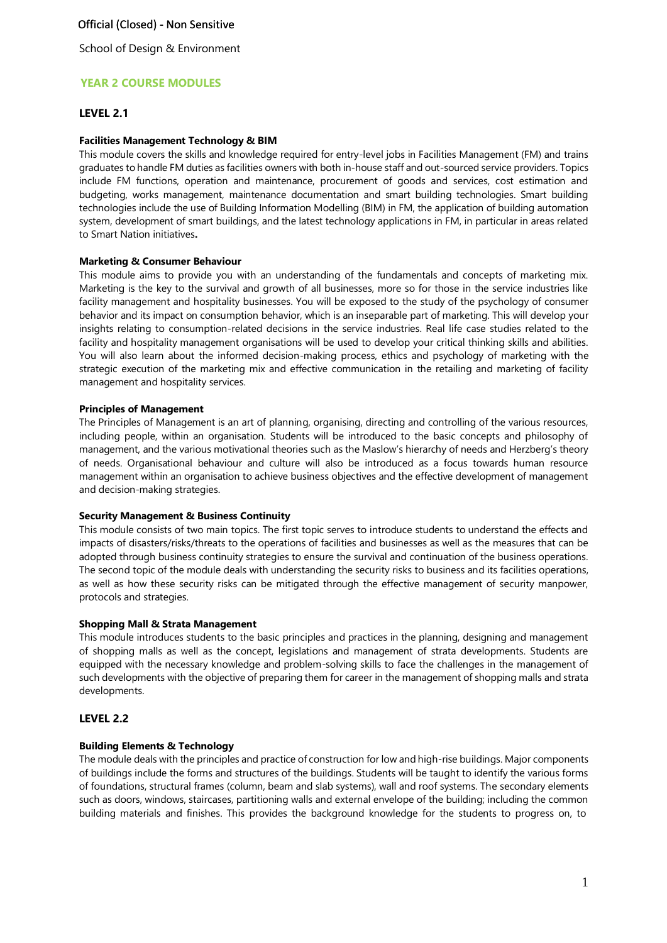School of Design & Environment

# **YEAR 2 COURSE MODULES**

### **LEVEL 2.1**

#### **Facilities Management Technology & BIM**

This module covers the skills and knowledge required for entry-level jobs in Facilities Management (FM) and trains graduates to handle FM duties as facilities owners with both in-house staff and out-sourced service providers. Topics include FM functions, operation and maintenance, procurement of goods and services, cost estimation and budgeting, works management, maintenance documentation and smart building technologies. Smart building technologies include the use of Building Information Modelling (BIM) in FM, the application of building automation system, development of smart buildings, and the latest technology applications in FM, in particular in areas related to Smart Nation initiatives**.**

#### **Marketing & Consumer Behaviour**

This module aims to provide you with an understanding of the fundamentals and concepts of marketing mix. Marketing is the key to the survival and growth of all businesses, more so for those in the service industries like facility management and hospitality businesses. You will be exposed to the study of the psychology of consumer behavior and its impact on consumption behavior, which is an inseparable part of marketing. This will develop your insights relating to consumption-related decisions in the service industries. Real life case studies related to the facility and hospitality management organisations will be used to develop your critical thinking skills and abilities. You will also learn about the informed decision-making process, ethics and psychology of marketing with the strategic execution of the marketing mix and effective communication in the retailing and marketing of facility management and hospitality services.

#### **Principles of Management**

The Principles of Management is an art of planning, organising, directing and controlling of the various resources, including people, within an organisation. Students will be introduced to the basic concepts and philosophy of management, and the various motivational theories such as the Maslow's hierarchy of needs and Herzberg's theory of needs. Organisational behaviour and culture will also be introduced as a focus towards human resource management within an organisation to achieve business objectives and the effective development of management and decision-making strategies.

#### **Security Management & Business Continuity**

This module consists of two main topics. The first topic serves to introduce students to understand the effects and impacts of disasters/risks/threats to the operations of facilities and businesses as well as the measures that can be adopted through business continuity strategies to ensure the survival and continuation of the business operations. The second topic of the module deals with understanding the security risks to business and its facilities operations, as well as how these security risks can be mitigated through the effective management of security manpower, protocols and strategies.

#### **Shopping Mall & Strata Management**

This module introduces students to the basic principles and practices in the planning, designing and management of shopping malls as well as the concept, legislations and management of strata developments. Students are equipped with the necessary knowledge and problem-solving skills to face the challenges in the management of such developments with the objective of preparing them for career in the management of shopping malls and strata developments.

### **LEVEL 2.2**

### **Building Elements & Technology**

The module deals with the principles and practice of construction for low and high-rise buildings. Major components of buildings include the forms and structures of the buildings. Students will be taught to identify the various forms of foundations, structural frames (column, beam and slab systems), wall and roof systems. The secondary elements such as doors, windows, staircases, partitioning walls and external envelope of the building; including the common building materials and finishes. This provides the background knowledge for the students to progress on, to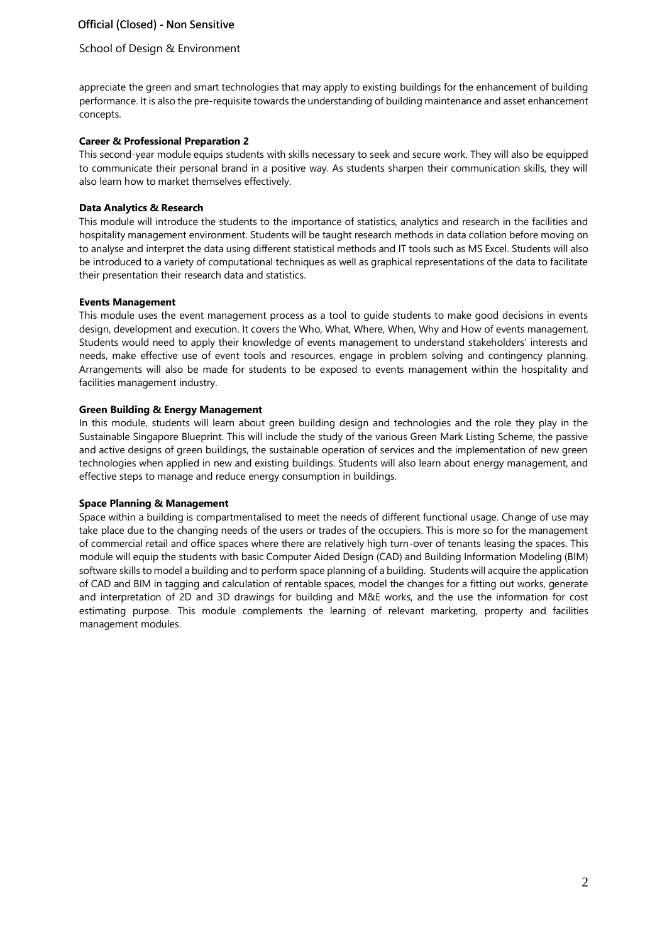## School of Design & Environment

appreciate the green and smart technologies that may apply to existing buildings for the enhancement of building performance. It is also the pre-requisite towards the understanding of building maintenance and asset enhancement concepts.

### **Career & Professional Preparation 2**

This second-year module equips students with skills necessary to seek and secure work. They will also be equipped to communicate their personal brand in a positive way. As students sharpen their communication skills, they will also learn how to market themselves effectively.

### **Data Analytics & Research**

This module will introduce the students to the importance of statistics, analytics and research in the facilities and hospitality management environment. Students will be taught research methods in data collation before moving on to analyse and interpret the data using different statistical methods and IT tools such as MS Excel. Students will also be introduced to a variety of computational techniques as well as graphical representations of the data to facilitate their presentation their research data and statistics.

### **Events Management**

This module uses the event management process as a tool to guide students to make good decisions in events design, development and execution. It covers the Who, What, Where, When, Why and How of events management. Students would need to apply their knowledge of events management to understand stakeholders' interests and needs, make effective use of event tools and resources, engage in problem solving and contingency planning. Arrangements will also be made for students to be exposed to events management within the hospitality and facilities management industry.

### **Green Building & Energy Management**

In this module, students will learn about green building design and technologies and the role they play in the Sustainable Singapore Blueprint. This will include the study of the various Green Mark Listing Scheme, the passive and active designs of green buildings, the sustainable operation of services and the implementation of new green technologies when applied in new and existing buildings. Students will also learn about energy management, and effective steps to manage and reduce energy consumption in buildings.

#### **Space Planning & Management**

Space within a building is compartmentalised to meet the needs of different functional usage. Change of use may take place due to the changing needs of the users or trades of the occupiers. This is more so for the management of commercial retail and office spaces where there are relatively high turn-over of tenants leasing the spaces. This module will equip the students with basic Computer Aided Design (CAD) and Building Information Modeling (BIM) software skills to model a building and to perform space planning of a building. Students will acquire the application of CAD and BIM in tagging and calculation of rentable spaces, model the changes for a fitting out works, generate and interpretation of 2D and 3D drawings for building and M&E works, and the use the information for cost estimating purpose. This module complements the learning of relevant marketing, property and facilities management modules.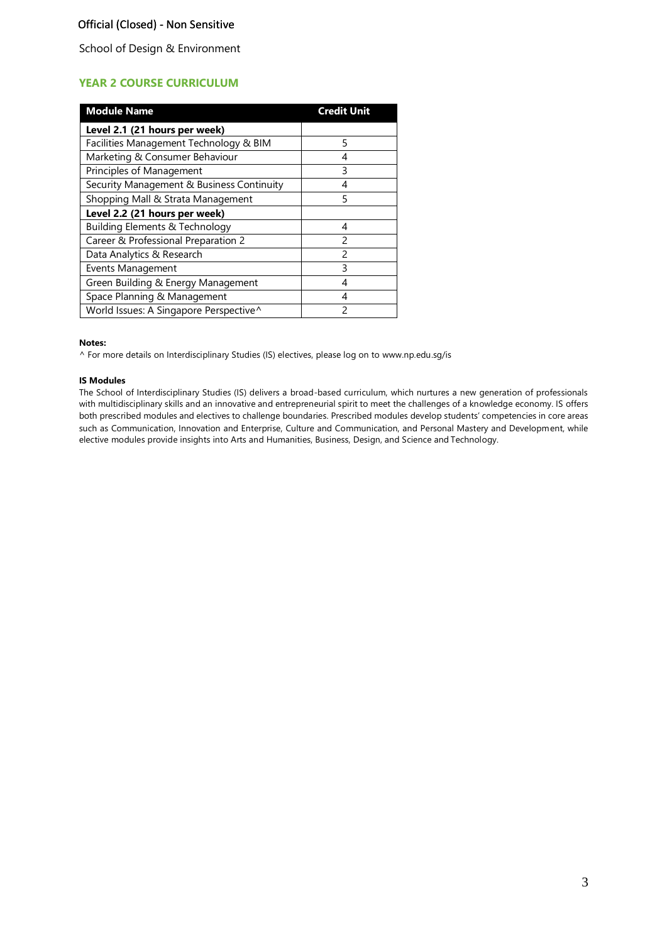School of Design & Environment

# **YEAR 2 COURSE CURRICULUM**

| <b>Module Name</b>                        | Credit Unit   |
|-------------------------------------------|---------------|
| Level 2.1 (21 hours per week)             |               |
| Facilities Management Technology & BIM    | 5             |
| Marketing & Consumer Behaviour            | 4             |
| Principles of Management                  | 3             |
| Security Management & Business Continuity | 4             |
| Shopping Mall & Strata Management         | 5             |
| Level 2.2 (21 hours per week)             |               |
| <b>Building Elements &amp; Technology</b> | 4             |
| Career & Professional Preparation 2       | $\mathcal{P}$ |
| Data Analytics & Research                 | 2             |
| Events Management                         | ξ             |
| Green Building & Energy Management        | 4             |
| Space Planning & Management               | 4             |
| World Issues: A Singapore Perspective^    | 2             |

#### **Notes:**

^ For more details on Interdisciplinary Studies (IS) electives, please log on to [www.np.edu.sg/is](http://www.np.edu.sg/is/)

#### **IS Modules**

The School of Interdisciplinary Studies (IS) delivers a broad-based curriculum, which nurtures a new generation of professionals with multidisciplinary skills and an innovative and entrepreneurial spirit to meet the challenges of a knowledge economy. IS offers both prescribed modules and electives to challenge boundaries. Prescribed modules develop students' competencies in core areas such as Communication, Innovation and Enterprise, Culture and Communication, and Personal Mastery and Development, while elective modules provide insights into Arts and Humanities, Business, Design, and Science and Technology.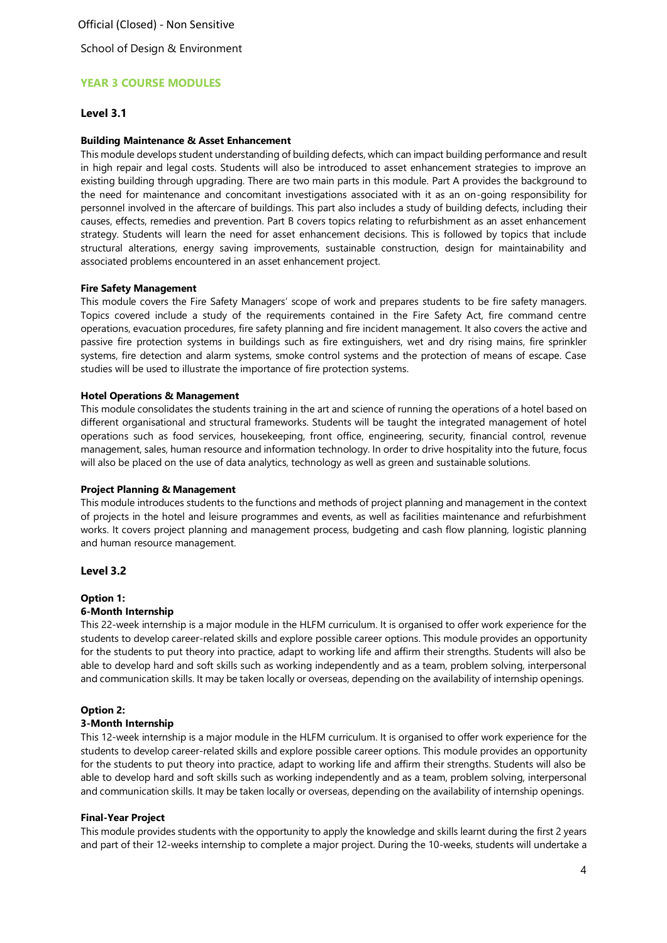School of Design & Environment

# **YEAR 3 COURSE MODULES**

### **Level 3.1**

#### **Building Maintenance & Asset Enhancement**

This module develops student understanding of building defects, which can impact building performance and result in high repair and legal costs. Students will also be introduced to asset enhancement strategies to improve an existing building through upgrading. There are two main parts in this module. Part A provides the background to the need for maintenance and concomitant investigations associated with it as an on-going responsibility for personnel involved in the aftercare of buildings. This part also includes a study of building defects, including their causes, effects, remedies and prevention. Part B covers topics relating to refurbishment as an asset enhancement strategy. Students will learn the need for asset enhancement decisions. This is followed by topics that include structural alterations, energy saving improvements, sustainable construction, design for maintainability and associated problems encountered in an asset enhancement project.

#### **Fire Safety Management**

This module covers the Fire Safety Managers' scope of work and prepares students to be fire safety managers. Topics covered include a study of the requirements contained in the Fire Safety Act, fire command centre operations, evacuation procedures, fire safety planning and fire incident management. It also covers the active and passive fire protection systems in buildings such as fire extinguishers, wet and dry rising mains, fire sprinkler systems, fire detection and alarm systems, smoke control systems and the protection of means of escape. Case studies will be used to illustrate the importance of fire protection systems.

#### **Hotel Operations & Management**

This module consolidates the students training in the art and science of running the operations of a hotel based on different organisational and structural frameworks. Students will be taught the integrated management of hotel operations such as food services, housekeeping, front office, engineering, security, financial control, revenue management, sales, human resource and information technology. In order to drive hospitality into the future, focus will also be placed on the use of data analytics, technology as well as green and sustainable solutions.

#### **Project Planning & Management**

This module introduces students to the functions and methods of project planning and management in the context of projects in the hotel and leisure programmes and events, as well as facilities maintenance and refurbishment works. It covers project planning and management process, budgeting and cash flow planning, logistic planning and human resource management.

# **Level 3.2**

#### **Option 1:**

#### **6-Month Internship**

This 22-week internship is a major module in the HLFM curriculum. It is organised to offer work experience for the students to develop career-related skills and explore possible career options. This module provides an opportunity for the students to put theory into practice, adapt to working life and affirm their strengths. Students will also be able to develop hard and soft skills such as working independently and as a team, problem solving, interpersonal and communication skills. It may be taken locally or overseas, depending on the availability of internship openings.

#### **Option 2:**

#### **3-Month Internship**

This 12-week internship is a major module in the HLFM curriculum. It is organised to offer work experience for the students to develop career-related skills and explore possible career options. This module provides an opportunity for the students to put theory into practice, adapt to working life and affirm their strengths. Students will also be able to develop hard and soft skills such as working independently and as a team, problem solving, interpersonal and communication skills. It may be taken locally or overseas, depending on the availability of internship openings.

#### **Final-Year Project**

This module provides students with the opportunity to apply the knowledge and skills learnt during the first 2 years and part of their 12-weeks internship to complete a major project. During the 10-weeks, students will undertake a